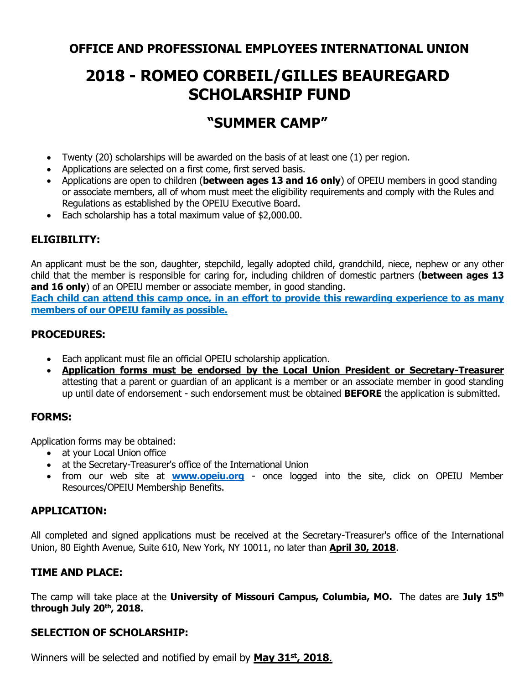## **OFFICE AND PROFESSIONAL EMPLOYEES INTERNATIONAL UNION**

# **2018 - ROMEO CORBEIL/GILLES BEAUREGARD SCHOLARSHIP FUND**

## **"SUMMER CAMP"**

- Twenty (20) scholarships will be awarded on the basis of at least one (1) per region.
- Applications are selected on a first come, first served basis.
- Applications are open to children (**between ages 13 and 16 only**) of OPEIU members in good standing or associate members, all of whom must meet the eligibility requirements and comply with the Rules and Regulations as established by the OPEIU Executive Board.
- Each scholarship has a total maximum value of \$2,000.00.

### **ELIGIBILITY:**

An applicant must be the son, daughter, stepchild, legally adopted child, grandchild, niece, nephew or any other child that the member is responsible for caring for, including children of domestic partners (**between ages 13 and 16 only**) of an OPEIU member or associate member, in good standing.

**Each child can attend this camp once, in an effort to provide this rewarding experience to as many members of our OPEIU family as possible.**

#### **PROCEDURES:**

- Each applicant must file an official OPEIU scholarship application.
- **Application forms must be endorsed by the Local Union President or Secretary-Treasurer** attesting that a parent or guardian of an applicant is a member or an associate member in good standing up until date of endorsement - such endorsement must be obtained **BEFORE** the application is submitted.

#### **FORMS:**

Application forms may be obtained:

- at your Local Union office
- at the Secretary-Treasurer's office of the International Union
- from our web site at **[www.opeiu.org](http://www.opeiu.org/)** once logged into the site, click on OPEIU Member Resources/OPEIU Membership Benefits.

#### **APPLICATION:**

All completed and signed applications must be received at the Secretary-Treasurer's office of the International Union, 80 Eighth Avenue, Suite 610, New York, NY 10011, no later than **April 30, 2018**.

#### **TIME AND PLACE:**

The camp will take place at the **University of Missouri Campus, Columbia, MO.** The dates are **July 15 th through July 20 th , 2018.** 

#### **SELECTION OF SCHOLARSHIP:**

Winners will be selected and notified by email by **May 31st, 2018**.